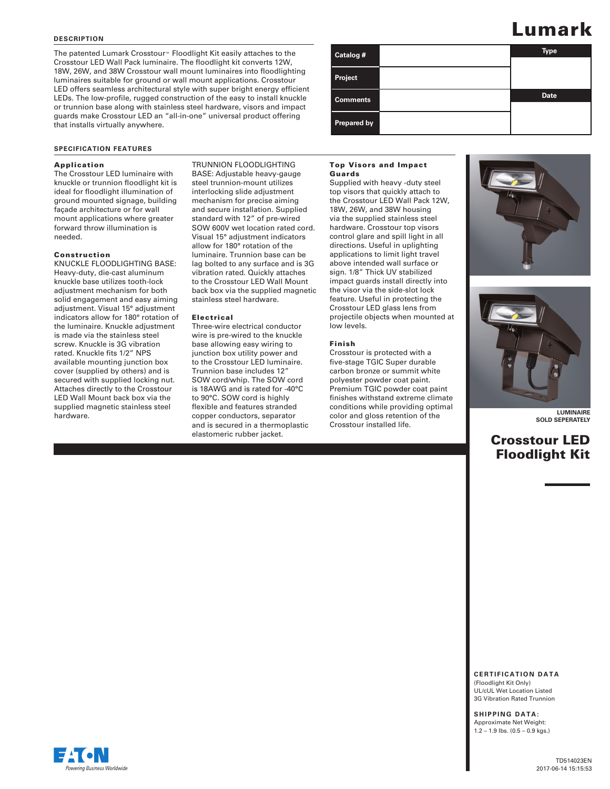### **DESCRIPTION**

The patented Lumark Crosstour™ Floodlight Kit easily attaches to the Crosstour LED Wall Pack luminaire. The floodlight kit converts 12W, 18W, 26W, and 38W Crosstour wall mount luminaires into floodlighting luminaires suitable for ground or wall mount applications. Crosstour LED offers seamless architectural style with super bright energy efficient LEDs. The low-profile, rugged construction of the easy to install knuckle or trunnion base along with stainless steel hardware, visors and impact guards make Crosstour LED an "all-in-one" universal product offering that installs virtually anywhere.

### **SPECIFICATION FEATURES**

### Application

The Crosstour LED luminaire with knuckle or trunnion floodlight kit is ideal for floodlight illumination of ground mounted signage, building façade architecture or for wall mount applications where greater forward throw illumination is needed.

#### Construction

KNUCKLE FLOODLIGHTING BASE: Heavy-duty, die-cast aluminum knuckle base utilizes tooth-lock adjustment mechanism for both solid engagement and easy aiming adjustment. Visual 15° adjustment indicators allow for 180° rotation of the luminaire. Knuckle adjustment is made via the stainless steel screw. Knuckle is 3G vibration rated. Knuckle fits 1/2" NPS available mounting junction box cover (supplied by others) and is secured with supplied locking nut. Attaches directly to the Crosstour LED Wall Mount back box via the supplied magnetic stainless steel hardware.

TRUNNION FLOODLIGHTING BASE: Adjustable heavy-gauge steel trunnion-mount utilizes interlocking slide adjustment mechanism for precise aiming and secure installation. Supplied standard with 12" of pre-wired SOW 600V wet location rated cord. Visual 15° adjustment indicators allow for 180° rotation of the luminaire. Trunnion base can be lag bolted to any surface and is 3G vibration rated. Quickly attaches to the Crosstour LED Wall Mount back box via the supplied magnetic stainless steel hardware.

#### Electrical

Three-wire electrical conductor wire is pre-wired to the knuckle base allowing easy wiring to junction box utility power and to the Crosstour LED luminaire. Trunnion base includes 12" SOW cord/whip. The SOW cord is 18AWG and is rated for -40°C to 90°C. SOW cord is highly flexible and features stranded copper conductors, separator and is secured in a thermoplastic elastomeric rubber jacket.

# **Catalog # Type Date Project Comments Prepared by**

### Top Visors and Impact Guards

Supplied with heavy -duty steel top visors that quickly attach to the Crosstour LED Wall Pack 12W, 18W, 26W, and 38W housing via the supplied stainless steel hardware. Crosstour top visors control glare and spill light in all directions. Useful in uplighting applications to limit light travel above intended wall surface or sign. 1/8" Thick UV stabilized impact guards install directly into the visor via the side-slot lock feature. Useful in protecting the Crosstour LED glass lens from projectile objects when mounted at low levels.

### Finish

Crosstour is protected with a five-stage TGIC Super durable carbon bronze or summit white polyester powder coat paint. Premium TGIC powder coat paint finishes withstand extreme climate conditions while providing optimal color and gloss retention of the Crosstour installed life.





**LUMINAIRE SOLD SEPERATELY**

# Crosstour LED Floodlight Kit

**C E R T I F I C A T I O N D A T A**  (Floodlight Kit Only) UL/cUL Wet Location Listed 3G Vibration Rated Trunnion

# **SHIPPING DATA:**

Approximate Net Weight: 1.2 – 1.9 lbs. (0.5 – 0.9 kgs.)



TD514023EN 2017-06-14 15:15:53

# Lumark